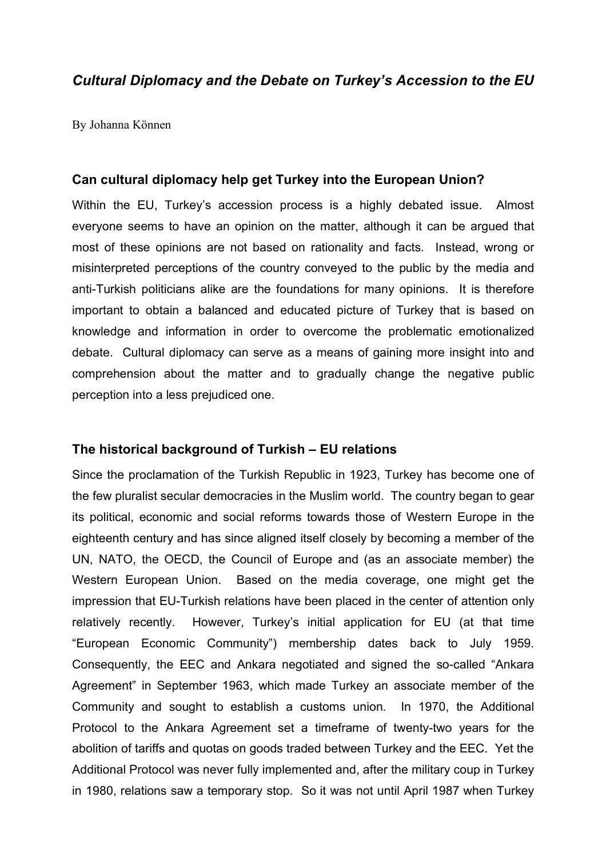# *Cultural Diplomacy and the Debate on Turkey's Accession to the EU*

By Johanna Können

## **Can cultural diplomacy help get Turkey into the European Union?**

Within the EU, Turkey's accession process is a highly debated issue. Almost everyone seems to have an opinion on the matter, although it can be argued that most of these opinions are not based on rationality and facts. Instead, wrong or misinterpreted perceptions of the country conveyed to the public by the media and anti-Turkish politicians alike are the foundations for many opinions. It is therefore important to obtain a balanced and educated picture of Turkey that is based on knowledge and information in order to overcome the problematic emotionalized debate. Cultural diplomacy can serve as a means of gaining more insight into and comprehension about the matter and to gradually change the negative public perception into a less prejudiced one.

## **The historical background of Turkish – EU relations**

Since the proclamation of the Turkish Republic in 1923, Turkey has become one of the few pluralist secular democracies in the Muslim world. The country began to gear its political, economic and social reforms towards those of Western Europe in the eighteenth century and has since aligned itself closely by becoming a member of the UN, NATO, the OECD, the Council of Europe and (as an associate member) the Western European Union. Based on the media coverage, one might get the impression that EU-Turkish relations have been placed in the center of attention only relatively recently. However, Turkey's initial application for EU (at that time "European Economic Community") membership dates back to July 1959. Consequently, the EEC and Ankara negotiated and signed the so-called "Ankara Agreement" in September 1963, which made Turkey an associate member of the Community and sought to establish a customs union. In 1970, the Additional Protocol to the Ankara Agreement set a timeframe of twenty-two years for the abolition of tariffs and quotas on goods traded between Turkey and the EEC. Yet the Additional Protocol was never fully implemented and, after the military coup in Turkey in 1980, relations saw a temporary stop. So it was not until April 1987 when Turkey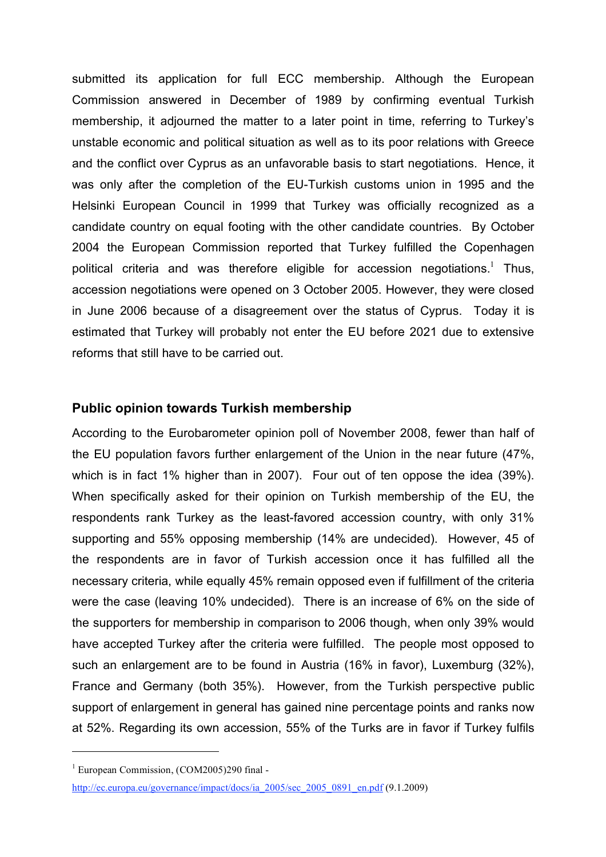submitted its application for full ECC membership. Although the European Commission answered in December of 1989 by confirming eventual Turkish membership, it adjourned the matter to a later point in time, referring to Turkey's unstable economic and political situation as well as to its poor relations with Greece and the conflict over Cyprus as an unfavorable basis to start negotiations. Hence, it was only after the completion of the EU-Turkish customs union in 1995 and the Helsinki European Council in 1999 that Turkey was officially recognized as a candidate country on equal footing with the other candidate countries. By October 2004 the European Commission reported that Turkey fulfilled the Copenhagen political criteria and was therefore eligible for accession negotiations.<sup>1</sup> Thus, accession negotiations were opened on 3 October 2005. However, they were closed in June 2006 because of a disagreement over the status of Cyprus. Today it is estimated that Turkey will probably not enter the EU before 2021 due to extensive reforms that still have to be carried out.

### **Public opinion towards Turkish membership**

According to the Eurobarometer opinion poll of November 2008, fewer than half of the EU population favors further enlargement of the Union in the near future (47%, which is in fact 1% higher than in 2007). Four out of ten oppose the idea (39%). When specifically asked for their opinion on Turkish membership of the EU, the respondents rank Turkey as the least-favored accession country, with only 31% supporting and 55% opposing membership (14% are undecided). However, 45 of the respondents are in favor of Turkish accession once it has fulfilled all the necessary criteria, while equally 45% remain opposed even if fulfillment of the criteria were the case (leaving 10% undecided). There is an increase of 6% on the side of the supporters for membership in comparison to 2006 though, when only 39% would have accepted Turkey after the criteria were fulfilled. The people most opposed to such an enlargement are to be found in Austria (16% in favor), Luxemburg (32%), France and Germany (both 35%). However, from the Turkish perspective public support of enlargement in general has gained nine percentage points and ranks now at 52%. Regarding its own accession, 55% of the Turks are in favor if Turkey fulfils

 $1$  European Commission, (COM2005)290 final -

http://ec.europa.eu/governance/impact/docs/ia\_2005/sec\_2005\_0891\_en.pdf (9.1.2009)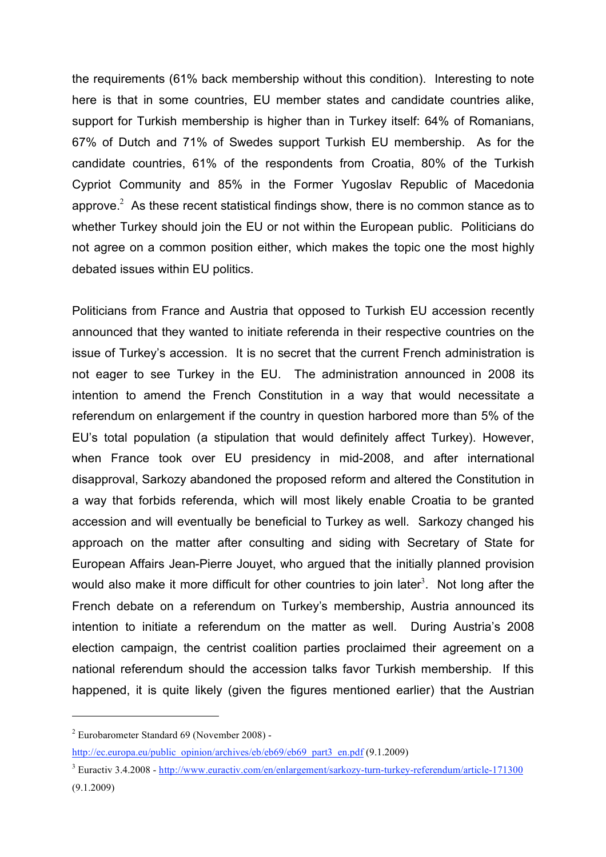the requirements (61% back membership without this condition). Interesting to note here is that in some countries, EU member states and candidate countries alike, support for Turkish membership is higher than in Turkey itself: 64% of Romanians, 67% of Dutch and 71% of Swedes support Turkish EU membership. As for the candidate countries, 61% of the respondents from Croatia, 80% of the Turkish Cypriot Community and 85% in the Former Yugoslav Republic of Macedonia approve. $2$  As these recent statistical findings show, there is no common stance as to whether Turkey should join the EU or not within the European public. Politicians do not agree on a common position either, which makes the topic one the most highly debated issues within EU politics.

Politicians from France and Austria that opposed to Turkish EU accession recently announced that they wanted to initiate referenda in their respective countries on the issue of Turkey's accession. It is no secret that the current French administration is not eager to see Turkey in the EU. The administration announced in 2008 its intention to amend the French Constitution in a way that would necessitate a referendum on enlargement if the country in question harbored more than 5% of the EU's total population (a stipulation that would definitely affect Turkey). However, when France took over EU presidency in mid-2008, and after international disapproval, Sarkozy abandoned the proposed reform and altered the Constitution in a way that forbids referenda, which will most likely enable Croatia to be granted accession and will eventually be beneficial to Turkey as well. Sarkozy changed his approach on the matter after consulting and siding with Secretary of State for European Affairs Jean-Pierre Jouyet, who argued that the initially planned provision would also make it more difficult for other countries to join later<sup>3</sup>. Not long after the French debate on a referendum on Turkey's membership, Austria announced its intention to initiate a referendum on the matter as well. During Austria's 2008 election campaign, the centrist coalition parties proclaimed their agreement on a national referendum should the accession talks favor Turkish membership. If this happened, it is quite likely (given the figures mentioned earlier) that the Austrian

 $2$  Eurobarometer Standard 69 (November 2008) -

http://ec.europa.eu/public\_opinion/archives/eb/eb69/eb69\_part3\_en.pdf (9.1.2009)

<sup>3</sup> Euractiv 3.4.2008 - http://www.euractiv.com/en/enlargement/sarkozy-turn-turkey-referendum/article-171300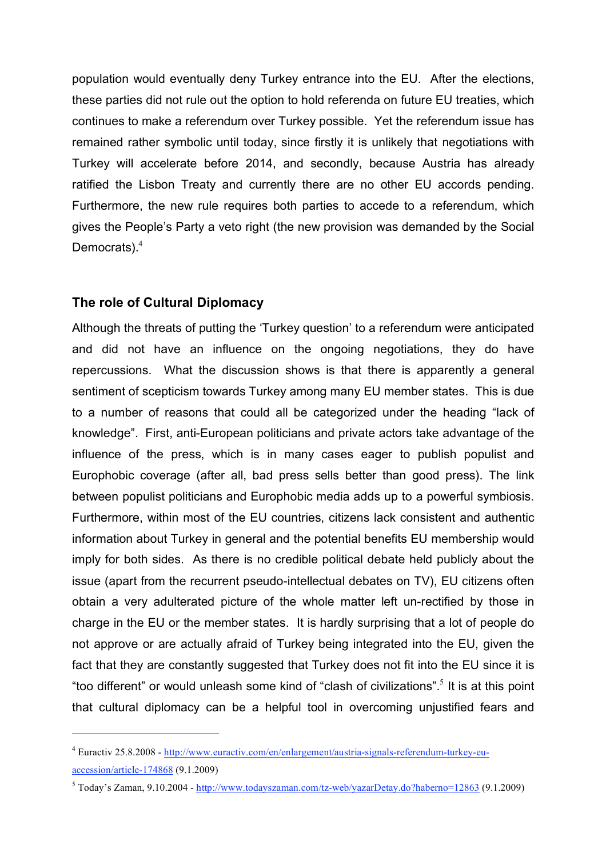population would eventually deny Turkey entrance into the EU. After the elections, these parties did not rule out the option to hold referenda on future EU treaties, which continues to make a referendum over Turkey possible. Yet the referendum issue has remained rather symbolic until today, since firstly it is unlikely that negotiations with Turkey will accelerate before 2014, and secondly, because Austria has already ratified the Lisbon Treaty and currently there are no other EU accords pending. Furthermore, the new rule requires both parties to accede to a referendum, which gives the People's Party a veto right (the new provision was demanded by the Social Democrats). 4

## **The role of Cultural Diplomacy**

 $\overline{a}$ 

Although the threats of putting the 'Turkey question' to a referendum were anticipated and did not have an influence on the ongoing negotiations, they do have repercussions. What the discussion shows is that there is apparently a general sentiment of scepticism towards Turkey among many EU member states. This is due to a number of reasons that could all be categorized under the heading "lack of knowledge". First, anti-European politicians and private actors take advantage of the influence of the press, which is in many cases eager to publish populist and Europhobic coverage (after all, bad press sells better than good press). The link between populist politicians and Europhobic media adds up to a powerful symbiosis. Furthermore, within most of the EU countries, citizens lack consistent and authentic information about Turkey in general and the potential benefits EU membership would imply for both sides. As there is no credible political debate held publicly about the issue (apart from the recurrent pseudo-intellectual debates on TV), EU citizens often obtain a very adulterated picture of the whole matter left un-rectified by those in charge in the EU or the member states. It is hardly surprising that a lot of people do not approve or are actually afraid of Turkey being integrated into the EU, given the fact that they are constantly suggested that Turkey does not fit into the EU since it is "too different" or would unleash some kind of "clash of civilizations". <sup>5</sup> It is at this point that cultural diplomacy can be a helpful tool in overcoming unjustified fears and

<sup>4</sup> Euractiv 25.8.2008 - http://www.euractiv.com/en/enlargement/austria-signals-referendum-turkey-euaccession/article-174868 (9.1.2009)

<sup>5</sup> Today's Zaman, 9.10.2004 - http://www.todayszaman.com/tz-web/yazarDetay.do?haberno=12863 (9.1.2009)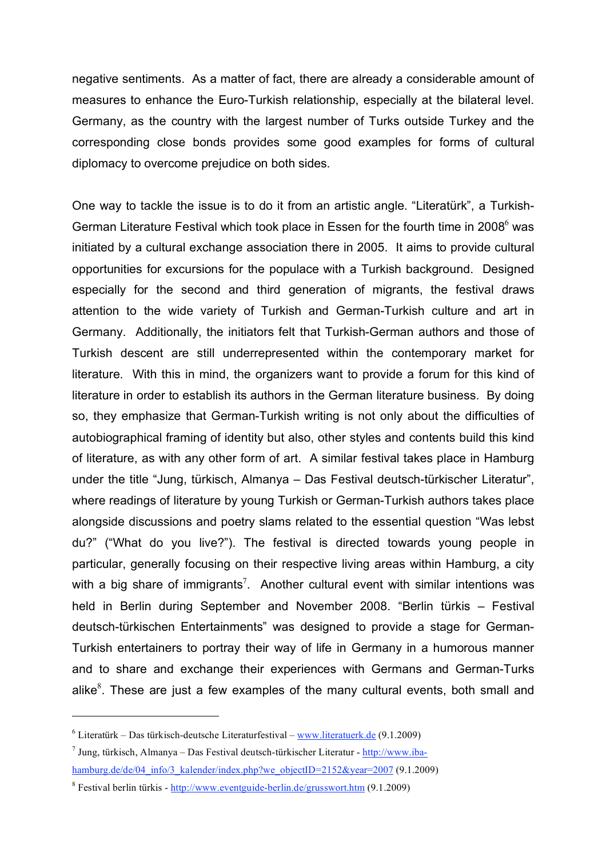negative sentiments. As a matter of fact, there are already a considerable amount of measures to enhance the Euro-Turkish relationship, especially at the bilateral level. Germany, as the country with the largest number of Turks outside Turkey and the corresponding close bonds provides some good examples for forms of cultural diplomacy to overcome prejudice on both sides.

One way to tackle the issue is to do it from an artistic angle. "Literatürk", a Turkish-German Literature Festival which took place in Essen for the fourth time in 2008<sup>6</sup> was initiated by a cultural exchange association there in 2005. It aims to provide cultural opportunities for excursions for the populace with a Turkish background. Designed especially for the second and third generation of migrants, the festival draws attention to the wide variety of Turkish and German-Turkish culture and art in Germany. Additionally, the initiators felt that Turkish-German authors and those of Turkish descent are still underrepresented within the contemporary market for literature. With this in mind, the organizers want to provide a forum for this kind of literature in order to establish its authors in the German literature business. By doing so, they emphasize that German-Turkish writing is not only about the difficulties of autobiographical framing of identity but also, other styles and contents build this kind of literature, as with any other form of art. A similar festival takes place in Hamburg under the title "Jung, türkisch, Almanya – Das Festival deutsch-türkischer Literatur", where readings of literature by young Turkish or German-Turkish authors takes place alongside discussions and poetry slams related to the essential question "Was lebst du?" ("What do you live?"). The festival is directed towards young people in particular, generally focusing on their respective living areas within Hamburg, a city with a big share of immigrants<sup>7</sup>. Another cultural event with similar intentions was held in Berlin during September and November 2008. "Berlin türkis – Festival deutsch-türkischen Entertainments" was designed to provide a stage for German-Turkish entertainers to portray their way of life in Germany in a humorous manner and to share and exchange their experiences with Germans and German-Turks alike ${}^{8}$ . These are just a few examples of the many cultural events, both small and

 $6$  Literatürk – Das türkisch-deutsche Literaturfestival – www.literatuerk.de (9.1.2009)

 $<sup>7</sup>$  Jung, türkisch, Almanya – Das Festival deutsch-türkischer Literatur - http://www.iba-</sup> hamburg.de/de/04\_info/3\_kalender/index.php?we\_objectID=2152&year=2007 (9.1.2009)

<sup>8</sup> Festival berlin türkis - http://www.eventguide-berlin.de/grusswort.htm (9.1.2009)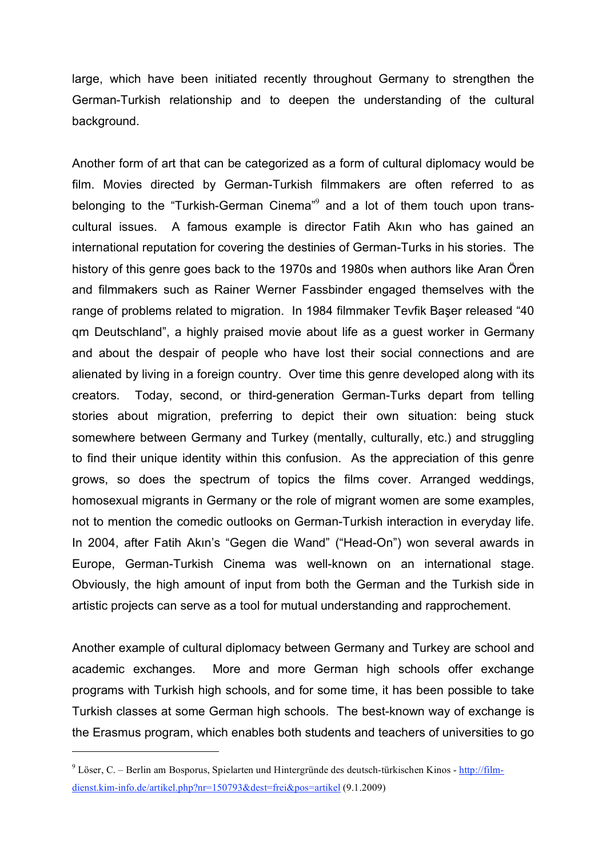large, which have been initiated recently throughout Germany to strengthen the German-Turkish relationship and to deepen the understanding of the cultural background.

Another form of art that can be categorized as a form of cultural diplomacy would be film. Movies directed by German-Turkish filmmakers are often referred to as belonging to the "Turkish-German Cinema"<sup>9</sup> and a lot of them touch upon transcultural issues. A famous example is director Fatih Akın who has gained an international reputation for covering the destinies of German-Turks in his stories. The history of this genre goes back to the 1970s and 1980s when authors like Aran Ören and filmmakers such as Rainer Werner Fassbinder engaged themselves with the range of problems related to migration. In 1984 filmmaker Tevfik Başer released "40 qm Deutschland", a highly praised movie about life as a guest worker in Germany and about the despair of people who have lost their social connections and are alienated by living in a foreign country. Over time this genre developed along with its creators. Today, second, or third-generation German-Turks depart from telling stories about migration, preferring to depict their own situation: being stuck somewhere between Germany and Turkey (mentally, culturally, etc.) and struggling to find their unique identity within this confusion. As the appreciation of this genre grows, so does the spectrum of topics the films cover. Arranged weddings, homosexual migrants in Germany or the role of migrant women are some examples, not to mention the comedic outlooks on German-Turkish interaction in everyday life. In 2004, after Fatih Akın's "Gegen die Wand" ("Head-On") won several awards in Europe, German-Turkish Cinema was well-known on an international stage. Obviously, the high amount of input from both the German and the Turkish side in artistic projects can serve as a tool for mutual understanding and rapprochement.

Another example of cultural diplomacy between Germany and Turkey are school and academic exchanges. More and more German high schools offer exchange programs with Turkish high schools, and for some time, it has been possible to take Turkish classes at some German high schools. The best-known way of exchange is the Erasmus program, which enables both students and teachers of universities to go

<sup>9</sup> Löser, C. – Berlin am Bosporus, Spielarten und Hintergründe des deutsch-türkischen Kinos - http://filmdienst.kim-info.de/artikel.php?nr=150793&dest=frei&pos=artikel (9.1.2009)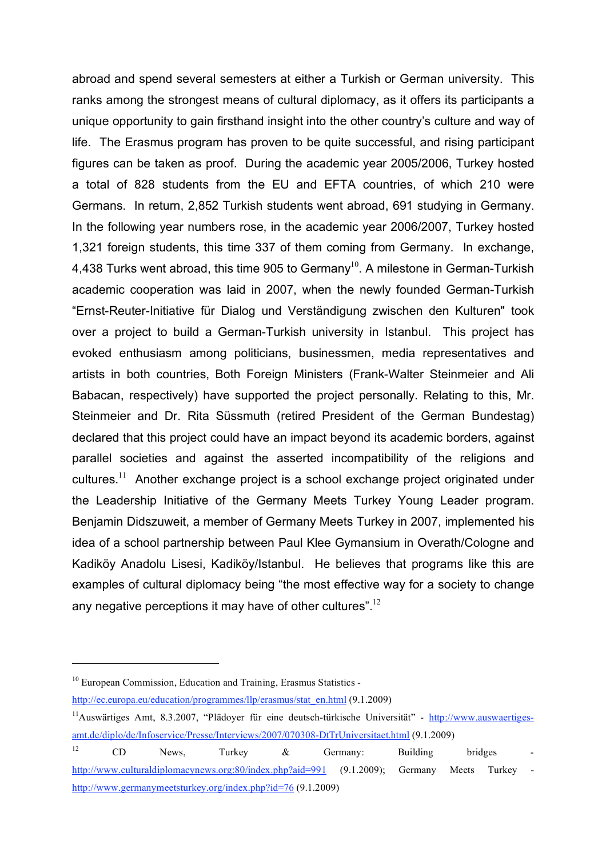abroad and spend several semesters at either a Turkish or German university. This ranks among the strongest means of cultural diplomacy, as it offers its participants a unique opportunity to gain firsthand insight into the other country's culture and way of life. The Erasmus program has proven to be quite successful, and rising participant figures can be taken as proof. During the academic year 2005/2006, Turkey hosted a total of 828 students from the EU and EFTA countries, of which 210 were Germans. In return, 2,852 Turkish students went abroad, 691 studying in Germany. In the following year numbers rose, in the academic year 2006/2007, Turkey hosted 1,321 foreign students, this time 337 of them coming from Germany. In exchange, 4,438 Turks went abroad, this time 905 to Germany<sup>10</sup>. A milestone in German-Turkish academic cooperation was laid in 2007, when the newly founded German-Turkish "Ernst-Reuter-Initiative für Dialog und Verständigung zwischen den Kulturen" took over a project to build a German-Turkish university in Istanbul. This project has evoked enthusiasm among politicians, businessmen, media representatives and artists in both countries, Both Foreign Ministers (Frank-Walter Steinmeier and Ali Babacan, respectively) have supported the project personally. Relating to this, Mr. Steinmeier and Dr. Rita Süssmuth (retired President of the German Bundestag) declared that this project could have an impact beyond its academic borders, against parallel societies and against the asserted incompatibility of the religions and cultures.<sup>11</sup> Another exchange project is a school exchange project originated under the Leadership Initiative of the Germany Meets Turkey Young Leader program. Benjamin Didszuweit, a member of Germany Meets Turkey in 2007, implemented his idea of a school partnership between Paul Klee Gymansium in Overath/Cologne and Kadiköy Anadolu Lisesi, Kadiköy/Istanbul. He believes that programs like this are examples of cultural diplomacy being "the most effective way for a society to change any negative perceptions it may have of other cultures".<sup>12</sup>

<sup>&</sup>lt;sup>10</sup> European Commission, Education and Training, Erasmus Statistics -

http://ec.europa.eu/education/programmes/llp/erasmus/stat\_en.html (9.1.2009)

<sup>&</sup>lt;sup>11</sup> Auswärtiges Amt, 8.3.2007, "Plädoyer für eine deutsch-türkische Universität" - http://www.auswaertigesamt.de/diplo/de/Infoservice/Presse/Interviews/2007/070308-DtTrUniversitaet.html (9.1.2009)

 $12$  CD News, Turkey & Germany: Building bridges http://www.culturaldiplomacynews.org:80/index.php?aid=991 (9.1.2009); Germany Meets Turkey http://www.germanymeetsturkey.org/index.php?id=76 (9.1.2009)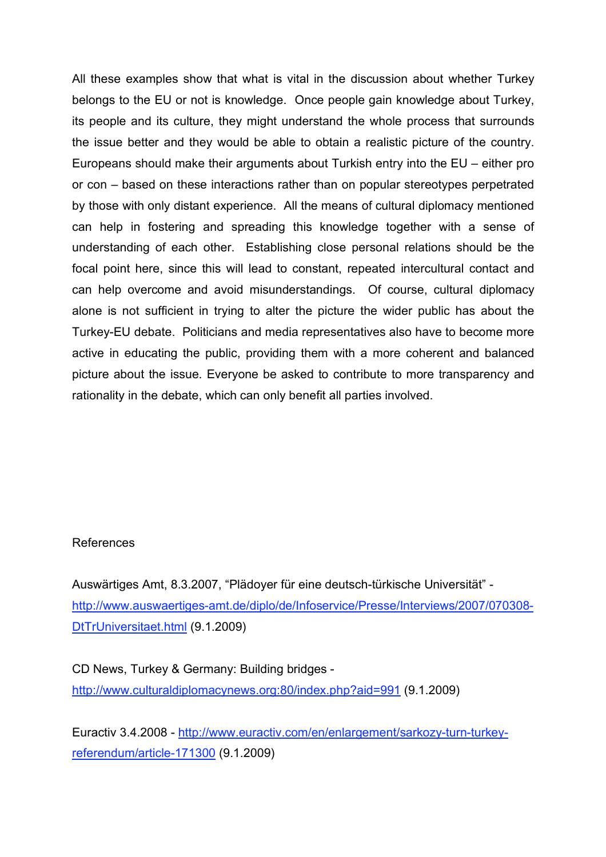All these examples show that what is vital in the discussion about whether Turkey belongs to the EU or not is knowledge. Once people gain knowledge about Turkey, its people and its culture, they might understand the whole process that surrounds the issue better and they would be able to obtain a realistic picture of the country. Europeans should make their arguments about Turkish entry into the EU – either pro or con – based on these interactions rather than on popular stereotypes perpetrated by those with only distant experience. All the means of cultural diplomacy mentioned can help in fostering and spreading this knowledge together with a sense of understanding of each other. Establishing close personal relations should be the focal point here, since this will lead to constant, repeated intercultural contact and can help overcome and avoid misunderstandings. Of course, cultural diplomacy alone is not sufficient in trying to alter the picture the wider public has about the Turkey-EU debate. Politicians and media representatives also have to become more active in educating the public, providing them with a more coherent and balanced picture about the issue. Everyone be asked to contribute to more transparency and rationality in the debate, which can only benefit all parties involved.

### References

Auswärtiges Amt, 8.3.2007, "Plädoyer für eine deutsch-türkische Universität" http://www.auswaertiges-amt.de/diplo/de/Infoservice/Presse/Interviews/2007/070308- DtTrUniversitaet.html (9.1.2009)

CD News, Turkey & Germany: Building bridges http://www.culturaldiplomacynews.org:80/index.php?aid=991 (9.1.2009)

Euractiv 3.4.2008 - http://www.euractiv.com/en/enlargement/sarkozy-turn-turkeyreferendum/article-171300 (9.1.2009)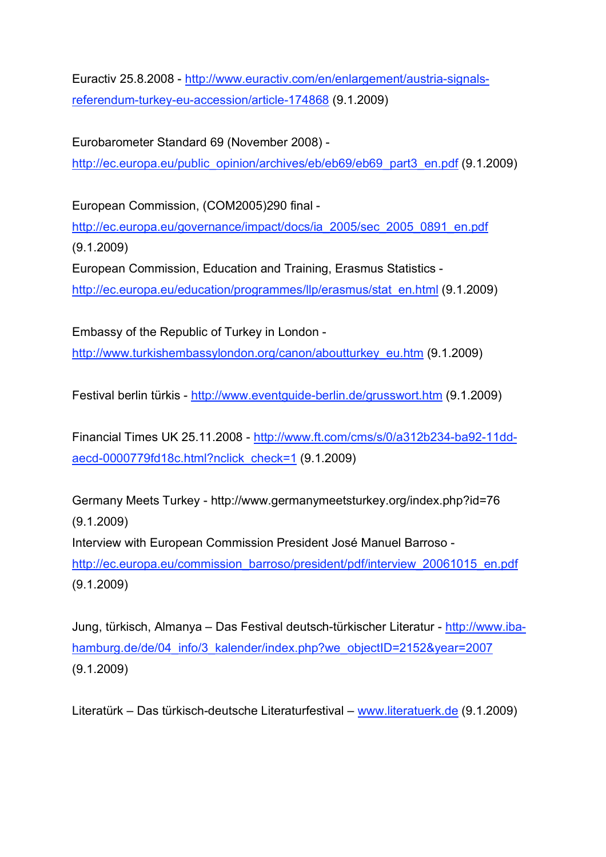Euractiv 25.8.2008 - http://www.euractiv.com/en/enlargement/austria-signalsreferendum-turkey-eu-accession/article-174868 (9.1.2009)

Eurobarometer Standard 69 (November 2008) -

http://ec.europa.eu/public\_opinion/archives/eb/eb69/eb69\_part3\_en.pdf (9.1.2009)

European Commission, (COM2005)290 final -

http://ec.europa.eu/governance/impact/docs/ia\_2005/sec\_2005\_0891\_en.pdf (9.1.2009)

European Commission, Education and Training, Erasmus Statistics http://ec.europa.eu/education/programmes/llp/erasmus/stat\_en.html (9.1.2009)

Embassy of the Republic of Turkey in London http://www.turkishembassylondon.org/canon/aboutturkey\_eu.htm (9.1.2009)

Festival berlin türkis - http://www.eventguide-berlin.de/grusswort.htm (9.1.2009)

Financial Times UK 25.11.2008 - http://www.ft.com/cms/s/0/a312b234-ba92-11ddaecd-0000779fd18c.html?nclick\_check=1 (9.1.2009)

Germany Meets Turkey - http://www.germanymeetsturkey.org/index.php?id=76 (9.1.2009) Interview with European Commission President José Manuel Barroso -

http://ec.europa.eu/commission\_barroso/president/pdf/interview\_20061015\_en.pdf (9.1.2009)

Jung, türkisch, Almanya – Das Festival deutsch-türkischer Literatur - http://www.ibahamburg.de/de/04\_info/3\_kalender/index.php?we\_objectID=2152&year=2007 (9.1.2009)

Literatürk – Das türkisch-deutsche Literaturfestival – www.literatuerk.de (9.1.2009)